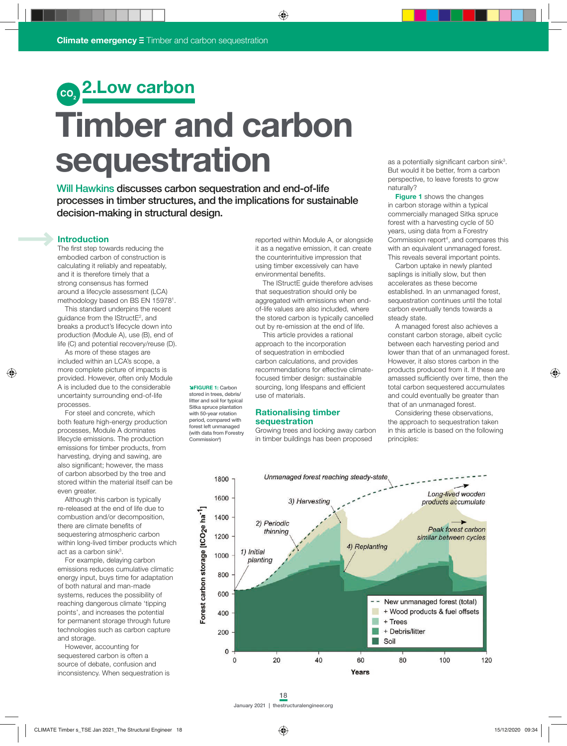## **2.Low carbon**

# **Timber and carbon sequestration**

Will Hawkins discusses carbon sequestration and end-of-life processes in timber structures, and the implications for sustainable decision-making in structural design.

> î**FIGURE 1:** Carbon stored in trees, debris/ litter and soil for typical Sitka spruce plantation with 50-year rotation period, compared with forest left unmanaged (with data from Forestry Commission<sup>4</sup>)

### **Introduction**

The first step towards reducing the embodied carbon of construction is calculating it reliably and repeatably, and it is therefore timely that a strong consensus has formed around a lifecycle assessment (LCA) methodology based on BS EN 159781 .

This standard underpins the recent guidance from the IStructE2 , and breaks a product's lifecycle down into production (Module A), use (B), end of life (C) and potential recovery/reuse (D).

As more of these stages are included within an LCA's scope, a more complete picture of impacts is provided. However, often only Module A is included due to the considerable uncertainty surrounding end-of-life processes.

For steel and concrete, which both feature high-energy production processes, Module A dominates lifecycle emissions. The production emissions for timber products, from harvesting, drying and sawing, are also significant; however, the mass of carbon absorbed by the tree and stored within the material itself can be even greater.

Although this carbon is typically re-released at the end of life due to combustion and/or decomposition, there are climate benefits of sequestering atmospheric carbon within long-lived timber products which act as a carbon sink $3$ .

For example, delaying carbon emissions reduces cumulative climatic energy input, buys time for adaptation of both natural and man-made systems, reduces the possibility of reaching dangerous climate 'tipping points', and increases the potential for permanent storage through future technologies such as carbon capture and storage.

However, accounting for sequestered carbon is often a source of debate, confusion and inconsistency. When sequestration is reported within Module A, or alongside it as a negative emission, it can create the counterintuitive impression that using timber excessively can have environmental benefits.

The IStructE guide therefore advises that sequestration should only be aggregated with emissions when endof-life values are also included, where the stored carbon is typically cancelled out by re-emission at the end of life.

This article provides a rational approach to the incorporation of sequestration in embodied carbon calculations, and provides recommendations for effective climatefocused timber design: sustainable sourcing, long lifespans and efficient use of materials.

### **Rationalising timber sequestration**

Growing trees and locking away carbon in timber buildings has been proposed

as a potentially significant carbon sink<sup>3</sup>. But would it be better, from a carbon perspective, to leave forests to grow naturally?

**Figure 1** shows the changes in carbon storage within a typical commercially managed Sitka spruce forest with a harvesting cycle of 50 years, using data from a Forestry Commission report<sup>4</sup>, and compares this with an equivalent unmanaged forest. This reveals several important points.

Carbon uptake in newly planted saplings is initially slow, but then accelerates as these become established. In an unmanaged forest, sequestration continues until the total carbon eventually tends towards a steady state.

A managed forest also achieves a constant carbon storage, albeit cyclic between each harvesting period and lower than that of an unmanaged forest. However, it also stores carbon in the products produced from it. If these are amassed sufficiently over time, then the total carbon sequestered accumulates and could eventually be greater than that of an unmanaged forest.

Considering these observations, the approach to sequestration taken in this article is based on the following principles:

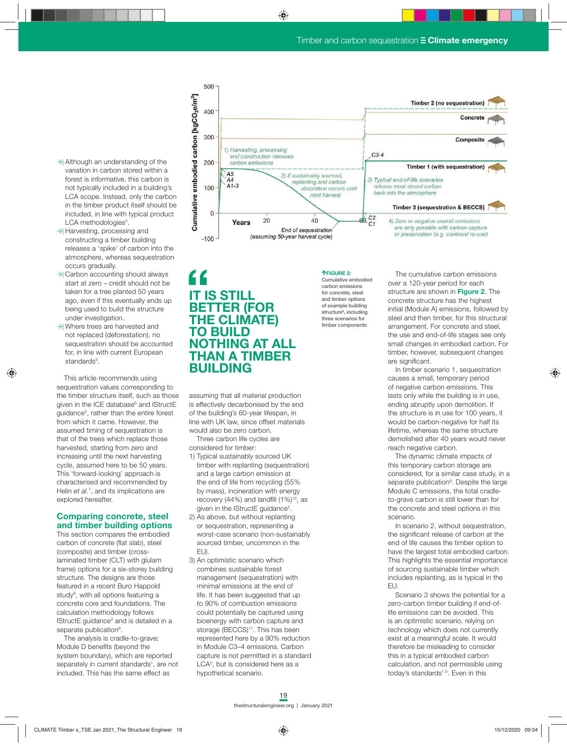- $\rightarrow$ | Although an understanding of the variation in carbon stored within a forest is informative, this carbon is not typically included in a building's LCA scope. Instead, only the carbon in the timber product itself should be included, in line with typical product LCA methodologies<sup>5</sup>.
- $\rightarrow$  Harvesting, processing and constructing a timber building releases a 'spike' of carbon into the atmosphere, whereas sequestration occurs gradually.
- $\rightarrow$  Carbon accounting should always start at zero – credit should not be taken for a tree planted 50 years ago, even if this eventually ends up being used to build the structure under investigation.
- $\rightarrow$ | Where trees are harvested and not replaced (deforestation), no sequestration should be accounted for, in line with current European standards<sup>5</sup>.

This article recommends using sequestration values corresponding to the timber structure itself, such as those given in the ICE database<sup>6</sup> and IStructE guidance<sup>2</sup>, rather than the entire forest from which it came. However, the assumed timing of sequestration is that of the trees which replace those harvested, starting from zero and increasing until the next harvesting cycle, assumed here to be 50 years. This 'forward-looking' approach is characterised and recommended by Helin *et al.<sup>7</sup>*, and its implications are explored hereafter.

### **Comparing concrete, steel and timber building options**

This section compares the embodied carbon of concrete (flat slab), steel (composite) and timber (crosslaminated timber (CLT) with glulam frame) options for a six-storey building structure. The designs are those featured in a recent Buro Happold study<sup>8</sup>, with all options featuring a concrete core and foundations. The calculation methodology follows IStructE guidance<sup>2</sup> and is detailed in a separate publication<sup>9</sup>.

The analysis is cradle-to-grave; Module D benefits (beyond the system boundary), which are reported separately in current standards<sup>1</sup>, are not included. This has the same effect as



### **IT IS STILL BETTER (FOR THE CLIMATE) TO BUILD NOTHING AT ALL THAN A TIMBER BUILDING**

assuming that all material production is effectively decarbonised by the end of the building's 60-year lifespan, in line with UK law, since offset materials would also be zero carbon.

Three carbon life cycles are considered for timber:

- 1) Typical sustainably sourced UK timber with replanting (sequestration) and a large carbon emission at the end of life from recycling (55% by mass), incineration with energy recovery (44%) and landfill  $(1%)^{10}$ , as given in the IStructE guidance<sup>2</sup>.
- 2) As above, but without replanting or sequestration, representing a worst-case scenario (non-sustainably sourced timber, uncommon in the EU).
- 3) An optimistic scenario which combines sustainable forest management (sequestration) with minimal emissions at the end of life. It has been suggested that up to 90% of combustion emissions could potentially be captured using bioenergy with carbon capture and storage (BECCS)<sup>11</sup>. This has been represented here by a 90% reduction in Module C3–4 emissions. Carbon capture is not permitted in a standard LCA5 , but is considered here as a hypothetical scenario.

### Cumulative embodied carbon emissions for concrete, steel and timber options of example building

é**FIGURE 2:**

structure<sup>8</sup>, including three scenarios for timber components

The cumulative carbon emissions over a 120-year period for each structure are shown in **Figure 2**. The concrete structure has the highest initial (Module A) emissions, followed by steel and then timber, for this structural arrangement. For concrete and steel, the use and end-of-life stages see only small changes in embodied carbon. For timber, however, subsequent changes are significant.

In timber scenario 1, sequestration causes a small, temporary period of negative carbon emissions. This lasts only while the building is in use, ending abruptly upon demolition. If the structure is in use for 100 years, it would be carbon-negative for half its lifetime, whereas the same structure demolished after 40 years would never reach negative carbon.

The dynamic climate impacts of this temporary carbon storage are considered, for a similar case study, in a separate publication<sup>9</sup>. Despite the large Module C emissions, the total cradleto-grave carbon is still lower than for the concrete and steel options in this scenario.

In scenario 2, without sequestration, the significant release of carbon at the end of life causes the timber option to have the largest total embodied carbon. This highlights the essential importance of sourcing sustainable timber which includes replanting, as is typical in the EU.

Scenario 3 shows the potential for a zero-carbon timber building if end-oflife emissions can be avoided. This is an optimistic scenario, relying on technology which does not currently exist at a meaningful scale. It would therefore be misleading to consider this in a typical embodied carbon calculation, and not permissible using today's standards<sup>1,5</sup>. Even in this